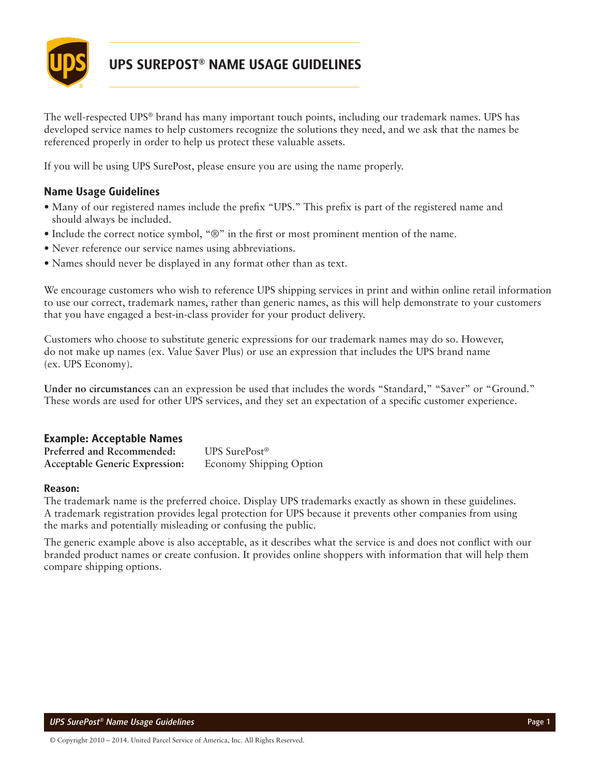

# **UPS SUREPOST® NAME USAGE GUIDELINES**

The well-respected UPS® brand has many important touch points, including our trademark names. UPS has developed service names to help customers recognize the solutions they need, and we ask that the names be referenced properly in order to help us protect these valuable assets.

If you will be using UPS SurePost, please ensure you are using the name properly.

# **Name Usage Guidelines**

- Many of our registered names include the prefix "UPS." This prefix is part of the registered name and should always be included.
- Include the correct notice symbol, "®" in the first or most prominent mention of the name.
- Never reference our service names using abbreviations.
- Names should never be displayed in any format other than as text.

We encourage customers who wish to reference UPS shipping services in print and within online retail information to use our correct, trademark names, rather than generic names, as this will help demonstrate to your customers that you have engaged a best-in-class provider for your product delivery.

Customers who choose to substitute generic expressions for our trademark names may do so. However, do not make up names (ex. Value Saver Plus) or use an expression that includes the UPS brand name (ex. UPS Economy).

**Under no circumstances** can an expression be used that includes the words "Standard," "Saver" or "Ground." These words are used for other UPS services, and they set an expectation of a specific customer experience.

## **Example: Acceptable Names**

| Preferred and Recommended:            | UPS SurePost <sup>®</sup> |
|---------------------------------------|---------------------------|
| <b>Acceptable Generic Expression:</b> | Economy Shipping Option   |

#### **Reason:**

The trademark name is the preferred choice. Display UPS trademarks exactly as shown in these guidelines. A trademark registration provides legal protection for UPS because it prevents other companies from using the marks and potentially misleading or confusing the public.

The generic example above is also acceptable, as it describes what the service is and does not conflict with our branded product names or create confusion. It provides online shoppers with information that will help them compare shipping options.